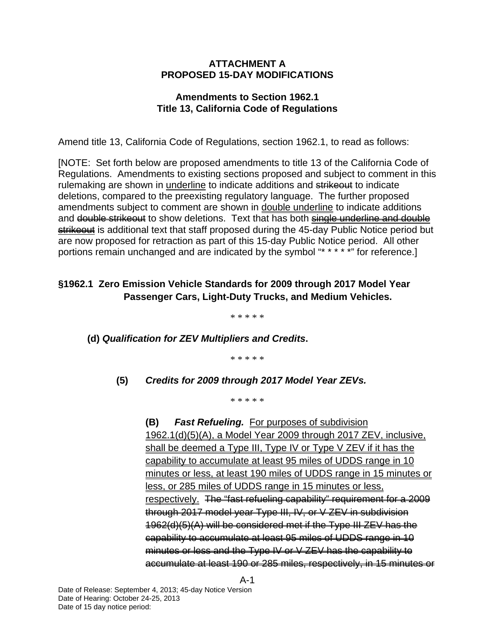### **ATTACHMENT A PROPOSED 15-DAY MODIFICATIONS**

## **Amendments to Section 1962.1 Title 13, California Code of Regulations**

Amend title 13, California Code of Regulations, section 1962.1, to read as follows:

[NOTE: Set forth below are proposed amendments to title 13 of the California Code of Regulations. Amendments to existing sections proposed and subject to comment in this rulemaking are shown in underline to indicate additions and strikeout to indicate deletions, compared to the preexisting regulatory language. The further proposed amendments subject to comment are shown in double underline to indicate additions and double strike out to show deletions. Text that has both single underline and double strikeout is additional text that staff proposed during the 45-day Public Notice period but are now proposed for retraction as part of this 15-day Public Notice period. All other portions remain unchanged and are indicated by the symbol "\* \* \* \* \*" for reference.]

# **§1962.1 Zero Emission Vehicle Standards for 2009 through 2017 Model Year Passenger Cars, Light-Duty Trucks, and Medium Vehicles.**

\* \* \* \* \*

 **(d)** *Qualification for ZEV Multipliers and Credits***.** 

\* \* \* \* \*

### **(5)** *Credits for 2009 through 2017 Model Year ZEVs.*

\* \* \* \* \*

 **(B)** *Fast Refueling.* For purposes of subdivision 1962.1(d)(5)(A), a Model Year 2009 through 2017 ZEV, inclusive, shall be deemed a Type III, Type IV or Type V ZEV if it has the capability to accumulate at least 95 miles of UDDS range in 10 minutes or less, at least 190 miles of UDDS range in 15 minutes or less, or 285 miles of UDDS range in 15 minutes or less, respectively. The "fast refueling capability" requirement for a 2009 through 2017 model year Type III, IV, or V ZEV in subdivision 1962(d)(5)(A) will be considered met if the Type III ZEV has the capability to accumulate at least 95 miles of UDDS range in 10 minutes or less and the Type IV or V ZEV has the capability to accumulate at least 190 or 285 miles, respectively, in 15 minutes or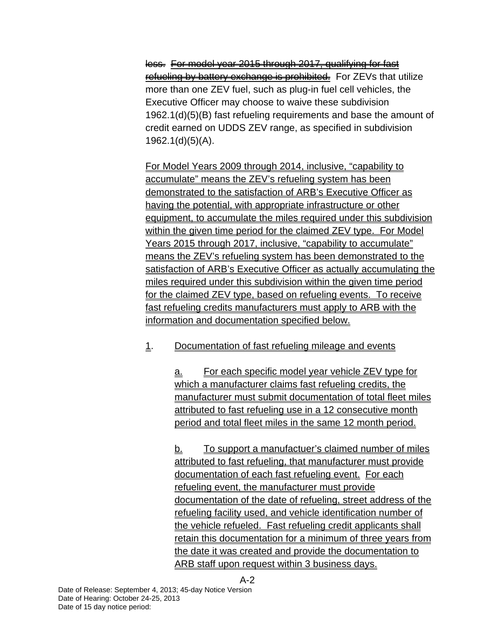less. For model year 2015 through 2017, qualifying for fast refueling by battery exchange is prohibited. For ZEVs that utilize more than one ZEV fuel, such as plug-in fuel cell vehicles, the Executive Officer may choose to waive these subdivision 1962.1(d)(5)(B) fast refueling requirements and base the amount of credit earned on UDDS ZEV range, as specified in subdivision 1962.1(d)(5)(A).

 For Model Years 2009 through 2014, inclusive, "capability to accumulate" means the ZEV's refueling system has been demonstrated to the satisfaction of ARB's Executive Officer as having the potential, with appropriate infrastructure or other equipment, to accumulate the miles required under this subdivision within the given time period for the claimed ZEV type. For Model Years 2015 through 2017, inclusive, "capability to accumulate" means the ZEV's refueling system has been demonstrated to the satisfaction of ARB's Executive Officer as actually accumulating the miles required under this subdivision within the given time period for the claimed ZEV type, based on refueling events. To receive fast refueling credits manufacturers must apply to ARB with the information and documentation specified below.

# 1. Documentation of fast refueling mileage and events

 a. For each specific model year vehicle ZEV type for which a manufacturer claims fast refueling credits, the manufacturer must submit documentation of total fleet miles attributed to fast refueling use in a 12 consecutive month period and total fleet miles in the same 12 month period.

b. To support a manufactuer's claimed number of miles attributed to fast refueling, that manufacturer must provide documentation of each fast refueling event. For each refueling event, the manufacturer must provide documentation of the date of refueling, street address of the refueling facility used, and vehicle identification number of the vehicle refueled. Fast refueling credit applicants shall retain this documentation for a minimum of three years from the date it was created and provide the documentation to ARB staff upon request within 3 business days.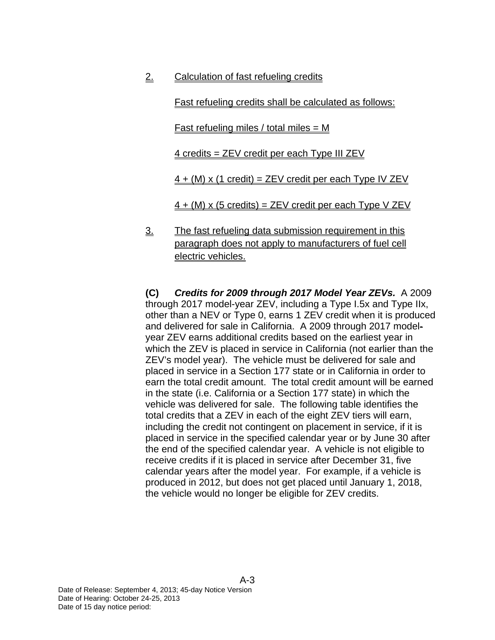2. Calculation of fast refueling credits

Fast refueling credits shall be calculated as follows:

<u>Fast refueling miles / total miles = M</u>

4 credits = ZEV credit per each Type III ZEV

 $4 + (M) \times (1 \text{ credit}) = ZEV \text{ credit per each Type IV ZEV}$ 

 $4 + (M)$  x (5 credits) = ZEV credit per each Type V ZEV

 3. The fast refueling data submission requirement in this paragraph does not apply to manufacturers of fuel cell electric vehicles.

**(C)** *Credits for 2009 through 2017 Model Year ZEVs.* A 2009 through 2017 model-year ZEV, including a Type I.5x and Type IIx, other than a NEV or Type 0, earns 1 ZEV credit when it is produced and delivered for sale in California. A 2009 through 2017 modelyear ZEV earns additional credits based on the earliest year in which the ZEV is placed in service in California (not earlier than the ZEV's model year). The vehicle must be delivered for sale and placed in service in a Section 177 state or in California in order to earn the total credit amount. The total credit amount will be earned in the state (i.e. California or a Section 177 state) in which the vehicle was delivered for sale. The following table identifies the total credits that a ZEV in each of the eight ZEV tiers will earn, including the credit not contingent on placement in service, if it is placed in service in the specified calendar year or by June 30 after the end of the specified calendar year. A vehicle is not eligible to receive credits if it is placed in service after December 31, five calendar years after the model year. For example, if a vehicle is produced in 2012, but does not get placed until January 1, 2018, the vehicle would no longer be eligible for ZEV credits.